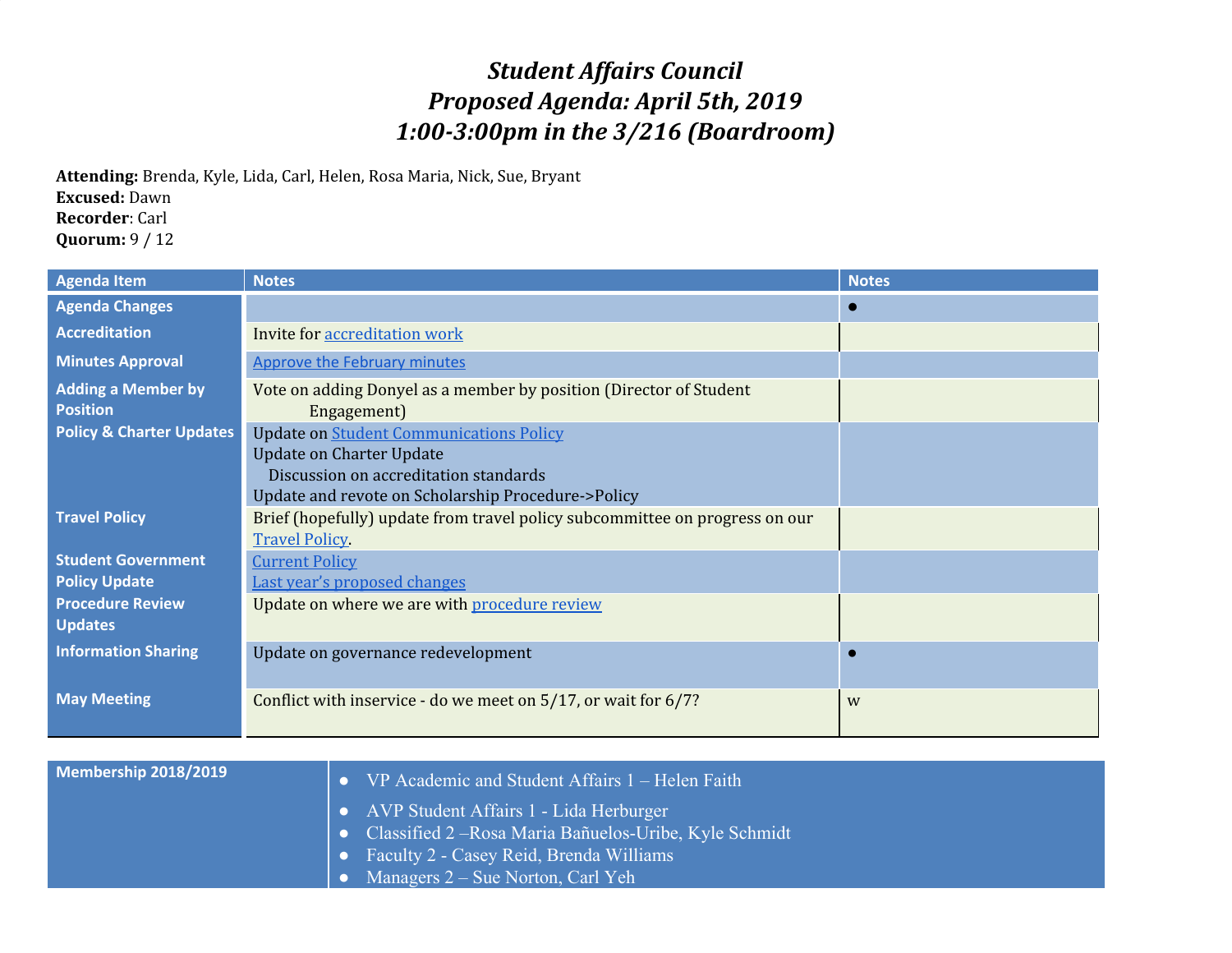## *Student Affairs Council Proposed Agenda: April 5th, 2019 1:00-3:00pm in the 3/216 (Boardroom)*

**Attending:** Brenda, Kyle, Lida, Carl, Helen, Rosa Maria, Nick, Sue, Bryant **Excused:** Dawn **Recorder**: Carl **Quorum:** 9 / 12

| <b>Agenda Item</b>                                | <b>Notes</b>                                                                                                                                                                     | <b>Notes</b> |
|---------------------------------------------------|----------------------------------------------------------------------------------------------------------------------------------------------------------------------------------|--------------|
| <b>Agenda Changes</b>                             |                                                                                                                                                                                  |              |
| <b>Accreditation</b>                              | Invite for accreditation work                                                                                                                                                    |              |
| <b>Minutes Approval</b>                           | <b>Approve the February minutes</b>                                                                                                                                              |              |
| <b>Adding a Member by</b><br><b>Position</b>      | Vote on adding Donyel as a member by position (Director of Student<br>Engagement)                                                                                                |              |
| <b>Policy &amp; Charter Updates</b>               | <b>Update on Student Communications Policy</b><br><b>Update on Charter Update</b><br>Discussion on accreditation standards<br>Update and revote on Scholarship Procedure->Policy |              |
| <b>Travel Policy</b>                              | Brief (hopefully) update from travel policy subcommittee on progress on our<br><b>Travel Policy</b>                                                                              |              |
| <b>Student Government</b><br><b>Policy Update</b> | <b>Current Policy</b><br>Last year's proposed changes                                                                                                                            |              |
| <b>Procedure Review</b><br><b>Updates</b>         | Update on where we are with procedure review                                                                                                                                     |              |
| <b>Information Sharing</b>                        | Update on governance redevelopment                                                                                                                                               |              |
| <b>May Meeting</b>                                | Conflict with inservice - do we meet on 5/17, or wait for 6/7?                                                                                                                   | W            |

| Membership 2018/2019 | $\bullet$ VP Academic and Student Affairs 1 – Helen Faith     |
|----------------------|---------------------------------------------------------------|
|                      | $\bullet$ AVP Student Affairs 1 - Lida Herburger              |
|                      | $\sim$ Classified 2 – Rosa Maria Bañuelos-Uribe, Kyle Schmidt |
|                      | $\bullet$ Faculty 2 - Casey Reid, Brenda Williams             |
|                      | $\bullet$ Managers $2 - S$ ue Norton, Carl Yeh                |